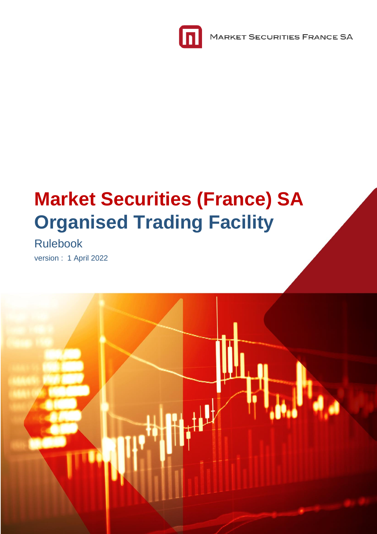

**MARKET SECURITIES FRANCE SA** 

# **Market Securities (France) SA Organised Trading Facility**

Rulebook version : 1 April 2022

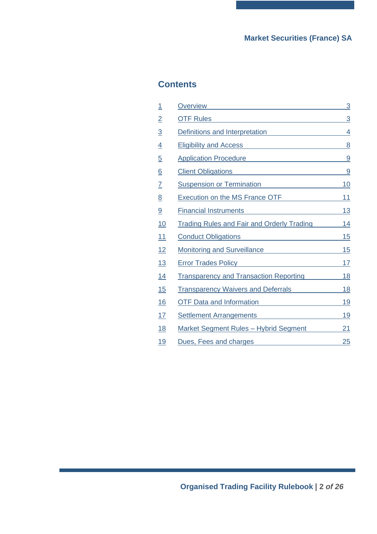## **Contents**

| 1               | Overview <b>Overview COVER COVER COVER COVERENT COVERENT COVERENT COVERENT COVERENT COVERENT COVERENT COVERENT COVERENT COVERENT COVERENT COVERENT COVERENT COVERENT COVERENT COVERENT COVERENT COVERENT COVERENT COVERENT COV</b>  | 3              |
|-----------------|-------------------------------------------------------------------------------------------------------------------------------------------------------------------------------------------------------------------------------------|----------------|
| $\overline{2}$  |                                                                                                                                                                                                                                     | $\overline{3}$ |
| $\overline{3}$  | Definitions and Interpretation <b>Example 2014</b>                                                                                                                                                                                  | 4              |
| $\overline{4}$  | Eligibility and Access <b>Eligibility</b> and Access <b>Access Eligibility</b> and Access <b>Access Eligibility</b> and <b>Access Eligibility Access Eligibility Access Eligibility Access Eligibility Access Eligibility</b>       | 8              |
| $\overline{5}$  | Application Procedure <b>Application</b> Procedure                                                                                                                                                                                  | 9              |
| $\underline{6}$ | Client Obligations <b>Client Obligations</b>                                                                                                                                                                                        | 9              |
| $\overline{I}$  | Suspension or Termination<br>Suspension or Termination                                                                                                                                                                              | <u> 10</u>     |
| <u>8</u>        | Execution on the MS France OTF                                                                                                                                                                                                      | 11             |
| 9               | Financial Instruments <b>Example 2014</b> The Research Annual Annual Annual Annual Annual Annual Annual Annual Annual Annual Annual Annual Annual Annual Annual Annual Annual Annual Annual Annual Annual Annual Annual Annual Annu | <u>13</u>      |
| <u>10</u>       | <b>Trading Rules and Fair and Orderly Trading</b>                                                                                                                                                                                   | 14             |
| 11              | Conduct Obligations <b>Conduct Obligations</b>                                                                                                                                                                                      | <u>15</u>      |
| 12              | Monitoring and Surveillance                                                                                                                                                                                                         | 15             |
| 13              | Error Trades Policy <b>Example 2018</b>                                                                                                                                                                                             | <u>17</u>      |
| 14              | <b>Transparency and Transaction Reporting</b>                                                                                                                                                                                       | <u>18</u>      |
| 15              | <b>Transparency Waivers and Deferrals</b>                                                                                                                                                                                           | <u>18</u>      |
| 16              | <b>OTF Data and Information</b>                                                                                                                                                                                                     | <u> 19</u>     |
| 17              | Settlement Arrangements <b>Settlement</b> Arrangements                                                                                                                                                                              | <u>19</u>      |
| <u>18</u>       | <b>Market Segment Rules - Hybrid Segment</b>                                                                                                                                                                                        | 21             |
| 19              | Dues, Fees and charges <b>Example 20</b> Fees and charges                                                                                                                                                                           | 25             |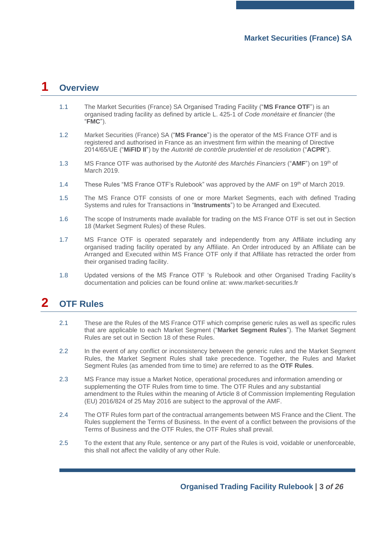# <span id="page-2-0"></span>**1 Overview**

- 1.1 The Market Securities (France) SA Organised Trading Facility ("**MS France OTF**") is an organised trading facility as defined by article L. 425-1 of *Code monétaire et financier* (the "**FMC**").
- 1.2 Market Securities (France) SA ("**MS France**") is the operator of the MS France OTF and is registered and authorised in France as an investment firm within the meaning of Directive 2014/65/UE ("**MiFID II**") by the *Autorité de contrôle prudentiel et de resolution* ("**ACPR**").
- 1.3 MS France OTF was authorised by the *Autorité des Marchés Financiers* ("**AMF**") on 19th of March 2019.
- 1.4 These Rules "MS France OTF's Rulebook" was approved by the AMF on 19<sup>th</sup> of March 2019.
- 1.5 The MS France OTF consists of one or more Market Segments, each with defined Trading Systems and rules for Transactions in "**Instruments**") to be Arranged and Executed.
- 1.6 The scope of Instruments made available for trading on the MS France OTF is set out in Section [18](#page-20-0) (Market Segment Rules) of these Rules.
- 1.7 MS France OTF is operated separately and independently from any Affiliate including any organised trading facility operated by any Affiliate. An Order introduced by an Affiliate can be Arranged and Executed within MS France OTF only if that Affiliate has retracted the order from their organised trading facility.
- 1.8 Updated versions of the MS France OTF 's Rulebook and other Organised Trading Facility's documentation and policies can be found online at: www.market-securities.fr

# <span id="page-2-1"></span>**2 OTF Rules**

- <span id="page-2-2"></span>2.1 These are the Rules of the MS France OTF which comprise generic rules as well as specific rules that are applicable to each Market Segment ("**Market Segment Rules**"). The Market Segment Rules are set out in Section [18](#page-20-0) of these Rules.
- <span id="page-2-3"></span>2.2 In the event of any conflict or inconsistency between the generic rules and the Market Segment Rules, the Market Segment Rules shall take precedence. Together, the Rules and Market Segment Rules (as amended from time to time) are referred to as the **OTF Rules**.
- 2.3 MS France may issue a Market Notice, operational procedures and information amending or supplementing the OTF Rules from time to time. The OTF Rules and any substantial amendment to the Rules within the meaning of Article 8 of Commission Implementing Regulation (EU) 2016/824 of 25 May 2016 are subject to the approval of the AMF.
- 2.4 The OTF Rules form part of the contractual arrangements between MS France and the Client. The Rules supplement the Terms of Business. In the event of a conflict between the provisions of the Terms of Business and the OTF Rules, the OTF Rules shall prevail.
- 2.5 To the extent that any Rule, sentence or any part of the Rules is void, voidable or unenforceable, this shall not affect the validity of any other Rule.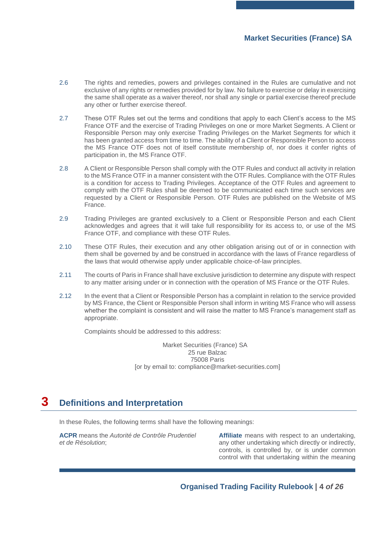- 2.6 The rights and remedies, powers and privileges contained in the Rules are cumulative and not exclusive of any rights or remedies provided for by law. No failure to exercise or delay in exercising the same shall operate as a waiver thereof, nor shall any single or partial exercise thereof preclude any other or further exercise thereof.
- 2.7 These OTF Rules set out the terms and conditions that apply to each Client's access to the MS France OTF and the exercise of Trading Privileges on one or more Market Segments. A Client or Responsible Person may only exercise Trading Privileges on the Market Segments for which it has been granted access from time to time. The ability of a Client or Responsible Person to access the MS France OTF does not of itself constitute membership of, nor does it confer rights of participation in, the MS France OTF.
- 2.8 A Client or Responsible Person shall comply with the OTF Rules and conduct all activity in relation to the MS France OTF in a manner consistent with the OTF Rules. Compliance with the OTF Rules is a condition for access to Trading Privileges. Acceptance of the OTF Rules and agreement to comply with the OTF Rules shall be deemed to be communicated each time such services are requested by a Client or Responsible Person. OTF Rules are published on the Website of MS France.
- 2.9 Trading Privileges are granted exclusively to a Client or Responsible Person and each Client acknowledges and agrees that it will take full responsibility for its access to, or use of the MS France OTF, and compliance with these OTF Rules.
- 2.10 These OTF Rules, their execution and any other obligation arising out of or in connection with them shall be governed by and be construed in accordance with the laws of France regardless of the laws that would otherwise apply under applicable choice-of-law principles.
- 2.11 The courts of Paris in France shall have exclusive jurisdiction to determine any dispute with respect to any matter arising under or in connection with the operation of MS France or the OTF Rules.
- 2.12 In the event that a Client or Responsible Person has a complaint in relation to the service provided by MS France, the Client or Responsible Person shall inform in writing MS France who will assess whether the complaint is consistent and will raise the matter to MS France's management staff as appropriate.

Complaints should be addressed to this address:

Market Securities (France) SA 25 rue Balzac 75008 Paris [or by email to: compliance@market-securities.com]

## <span id="page-3-0"></span>**3 Definitions and Interpretation**

In these Rules, the following terms shall have the following meanings:

**ACPR** means the *Autorité de Contrôle Prudentiel et de Résolution*;

**Affiliate** means with respect to an undertaking, any other undertaking which directly or indirectly, controls, is controlled by, or is under common control with that undertaking within the meaning

**Organised Trading Facility Rulebook | 4** *of 26*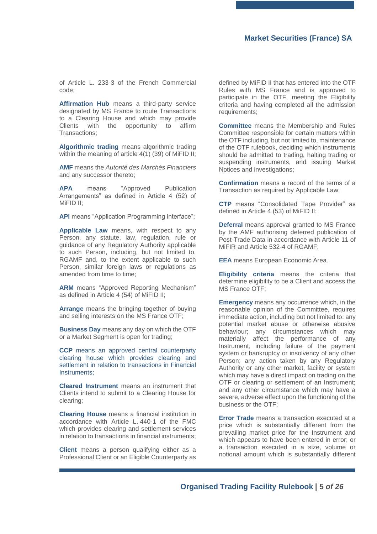of Article L. 233-3 of the French Commercial code;

**Affirmation Hub** means a third-party service designated by MS France to route Transactions to a Clearing House and which may provide Clients with the opportunity to affirm Transactions;

**Algorithmic trading** means algorithmic trading within the meaning of article 4(1) (39) of MiFID II;

**AMF** means the *Autorité des Marchés Financiers* and any successor thereto;

**APA** means "Approved Publication Arrangements" as defined in Article 4 (52) of MiFID II;

**API** means "Application Programming interface";

**Applicable Law** means, with respect to any Person, any statute, law, regulation, rule or guidance of any Regulatory Authority applicable to such Person, including, but not limited to, RGAMF and, to the extent applicable to such Person, similar foreign laws or regulations as amended from time to time;

**ARM** means "Approved Reporting Mechanism" as defined in Article 4 (54) of MiFID II;

**Arrange** means the bringing together of buying and selling interests on the MS France OTF;

**Business Day** means any day on which the OTF or a Market Segment is open for trading;

**CCP** means an approved central counterparty clearing house which provides clearing and settlement in relation to transactions in Financial Instruments;

**Cleared Instrument** means an instrument that Clients intend to submit to a Clearing House for clearing;

**Clearing House** means a financial institution in accordance with Article L. 440-1 of the FMC which provides clearing and settlement services in relation to transactions in financial instruments;

**Client** means a person qualifying either as a Professional Client or an Eligible Counterparty as defined by MiFID II that has entered into the OTF Rules with MS France and is approved to participate in the OTF, meeting the Eligibility criteria and having completed all the admission requirements;

**Committee** means the Membership and Rules Committee responsible for certain matters within the OTF including, but not limited to, maintenance of the OTF rulebook, deciding which instruments should be admitted to trading, halting trading or suspending instruments, and issuing Market Notices and investigations;

**Confirmation** means a record of the terms of a Transaction as required by Applicable Law;

**CTP** means "Consolidated Tape Provider" as defined in Article 4 (53) of MiFID II;

**Deferral** means approval granted to MS France by the AMF authorising deferred publication of Post-Trade Data in accordance with Article 11 of MiFIR and Article 532-4 of RGAMF;

**EEA** means European Economic Area.

**Eligibility criteria** means the criteria that determine eligibility to be a Client and access the MS France OTF;

**Emergency** means any occurrence which, in the reasonable opinion of the Committee, requires immediate action, including but not limited to: any potential market abuse or otherwise abusive behaviour; any circumstances which may materially affect the performance of any Instrument, including failure of the payment system or bankruptcy or insolvency of any other Person; any action taken by any Regulatory Authority or any other market, facility or system which may have a direct impact on trading on the OTF or clearing or settlement of an Instrument; and any other circumstance which may have a severe, adverse effect upon the functioning of the business or the OTF;

**Error Trade** means a transaction executed at a price which is substantially different from the prevailing market price for the Instrument and which appears to have been entered in error; or a transaction executed in a size, volume or notional amount which is substantially different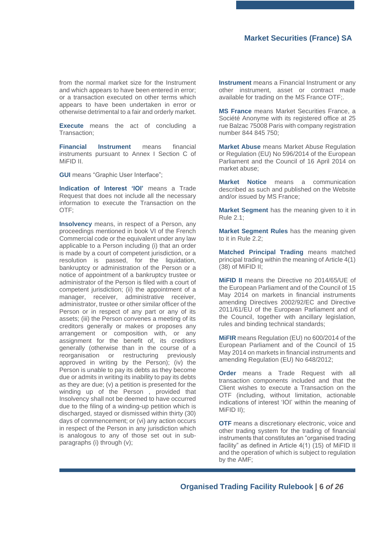from the normal market size for the Instrument and which appears to have been entered in error; or a transaction executed on other terms which appears to have been undertaken in error or otherwise detrimental to a fair and orderly market.

**Execute** means the act of concluding a Transaction;

**Financial Instrument** means financial instruments pursuant to Annex I Section C of MiFID II.

**GUI** means "Graphic User Interface";

**Indication of Interest 'IOI'** means a Trade Request that does not include all the necessary information to execute the Transaction on the OTF;

**Insolvency** means, in respect of a Person, any proceedings mentioned in book VI of the French Commercial code or the equivalent under any law applicable to a Person including (i) that an order is made by a court of competent jurisdiction, or a resolution is passed, for the liquidation, bankruptcy or administration of the Person or a notice of appointment of a bankruptcy trustee or administrator of the Person is filed with a court of competent jurisdiction; (ii) the appointment of a manager, receiver, administrative receiver, administrator, trustee or other similar officer of the Person or in respect of any part or any of its assets; (iii) the Person convenes a meeting of its creditors generally or makes or proposes any arrangement or composition with, or any assignment for the benefit of, its creditors generally (otherwise than in the course of a reorganisation or restructuring previously approved in writing by the Person); (iv) the Person is unable to pay its debts as they become due or admits in writing its inability to pay its debts as they are due; (v) a petition is presented for the winding up of the Person , provided that Insolvency shall not be deemed to have occurred due to the filing of a winding-up petition which is discharged, stayed or dismissed within thirty (30) days of commencement; or (vi) any action occurs in respect of the Person in any jurisdiction which is analogous to any of those set out in subparagraphs (i) through (v);

**Instrument** means a Financial Instrument or any other instrument, asset or contract made available for trading on the MS France OTF;.

**MS France** means Market Securities France, a Société Anonyme with its registered office at 25 rue Balzac 75008 Paris with company registration number 844 845 750;

**Market Abuse** means Market Abuse Regulation or Regulation (EU) No 596/2014 of the European Parliament and the Council of 16 April 2014 on market abuse;

**Market Notice** means a communication described as such and published on the Website and/or issued by MS France;

**Market Segment** has the meaning given to it in Rule [2.1;](#page-2-2)

**Market Segment Rules** has the meaning given to it in Rule [2.2;](#page-2-3)

**Matched Principal Trading** means matched principal trading within the meaning of Article 4(1) (38) of MiFID II;

**MiFID II** means the Directive no 2014/65/UE of the European Parliament and of the Council of 15 May 2014 on markets in financial instruments amending Directives 2002/92/EC and Directive 2011/61/EU of the European Parliament and of the Council, together with ancillary legislation, rules and binding technical standards;

**MiFIR** means Regulation (EU) no 600/2014 of the European Parliament and of the Council of 15 May 2014 on markets in financial instruments and amending Regulation (EU) No 648/2012;

**Order** means a Trade Request with all transaction components included and that the Client wishes to execute a Transaction on the OTF (including, without limitation, actionable indications of interest 'IOI' within the meaning of MiFID II);

**OTF** means a discretionary electronic, voice and other trading system for the trading of financial instruments that constitutes an "organised trading facility" as defined in Article  $4(1)$  (15) of MiFID II and the operation of which is subject to regulation by the AMF;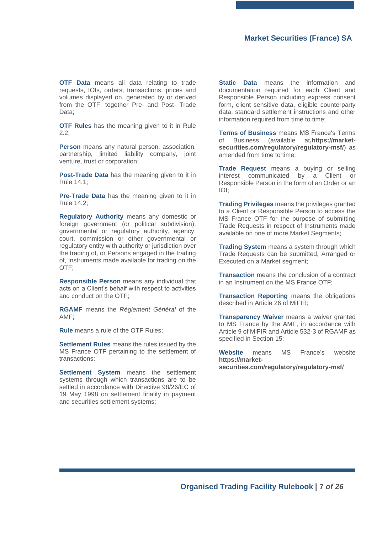**OTF Data** means all data relating to trade requests, IOIs, orders, transactions, prices and volumes displayed on, generated by or derived from the OTF; together Pre- and Post- Trade Data;

**OTF Rules** has the meaning given to it in Rule [2.2;](#page-2-3)

**Person** means any natural person, association, partnership, limited liability company, joint venture, trust or corporation;

**Post-Trade Data** has the meaning given to it in Rule [14.1;](#page-17-2)

**Pre-Trade Data** has the meaning given to it in Rule [14.2;](#page-17-3)

**Regulatory Authority** means any domestic or foreign government (or political subdivision), governmental or regulatory authority, agency, court, commission or other governmental or regulatory entity with authority or jurisdiction over the trading of, or Persons engaged in the trading of, Instruments made available for trading on the OTF;

**Responsible Person** means any individual that acts on a Client's behalf with respect to activities and conduct on the OTF;

**RGAMF** means the *Règlement Général* of the AMF;

**Rule** means a rule of the OTF Rules;

**Settlement Rules** means the rules issued by the MS France OTF pertaining to the settlement of transactions;

**Settlement System** means the settlement systems through which transactions are to be settled in accordance with Directive 98/26/EC of 19 May 1998 on settlement finality in payment and securities settlement systems;

**Static Data** means the information and documentation required for each Client and Responsible Person including express consent form, client sensitive data, eligible counterparty data, standard settlement instructions and other information required from time to time;

**Terms of Business** means MS France's Terms of Business (available at**[,https://market](https://market-securities.com/regulatory/regulatory-msf/)[securities.com/regulatory/regulatory-msf/](https://market-securities.com/regulatory/regulatory-msf/)**) as amended from time to time;

**Trade Request** means a buying or selling interest communicated by a Client or Responsible Person in the form of an Order or an IOI;

**Trading Privileges** means the privileges granted to a Client or Responsible Person to access the MS France OTF for the purpose of submitting Trade Requests in respect of Instruments made available on one of more Market Segments;

**Trading System** means a system through which Trade Requests can be submitted, Arranged or Executed on a Market segment;

**Transaction** means the conclusion of a contract in an Instrument on the MS France OTF;

**Transaction Reporting** means the obligations described in Article 26 of MiFIR;

**Transparency Waiver** means a waiver granted to MS France by the AMF, in accordance with Article 9 of MiFIR and Article 532-3 of RGAMF as specified in Section [15;](#page-17-1)

**Website** means MS France's website **[https://market](https://market-securities.com/regulatory/regulatory-msf/)[securities.com/regulatory/regulatory-msf/](https://market-securities.com/regulatory/regulatory-msf/)**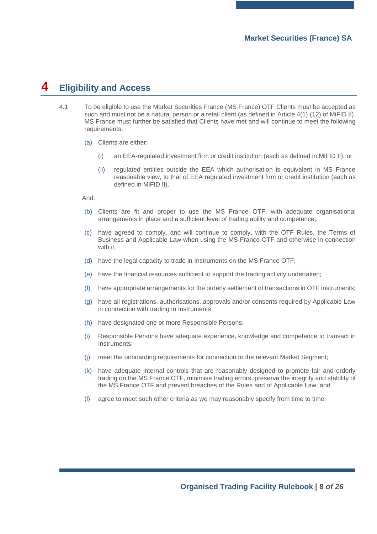## <span id="page-7-0"></span>**4 Eligibility and Access**

- 4.1 To be eligible to use the Market Securities France (MS France) OTF Clients must be accepted as such and must not be a natural person or a retail client (as defined in Article 4(1) (12) of MiFID II). MS France must further be satisfied that Clients have met and will continue to meet the following requirements:
	- (a) Clients are either:
		- (i) an EEA-regulated investment firm or credit institution (each as defined in MiFID II); or
		- (ii) regulated entities outside the EEA which authorisation is equivalent in MS France reasonable view, to that of EEA regulated investment firm or credit institution (each as defined in MiFID II).

And:

- (b) Clients are fit and proper to use the MS France OTF, with adequate organisational arrangements in place and a sufficient level of trading ability and competence;
- (c) have agreed to comply, and will continue to comply, with the OTF Rules, the Terms of Business and Applicable Law when using the MS France OTF and otherwise in connection with it;
- (d) have the legal capacity to trade in Instruments on the MS France OTF;
- (e) have the financial resources sufficient to support the trading activity undertaken;
- (f) have appropriate arrangements for the orderly settlement of transactions in OTF instruments;
- (g) have all registrations, authorisations, approvals and/or consents required by Applicable Law in connection with trading in Instruments;
- (h) have designated one or more Responsible Persons;
- (i) Responsible Persons have adequate experience, knowledge and competence to transact in Instruments;
- (j) meet the onboarding requirements for connection to the relevant Market Segment;
- (k) have adequate internal controls that are reasonably designed to promote fair and orderly trading on the MS France OTF, minimise trading errors, preserve the integrity and stability of the MS France OTF and prevent breaches of the Rules and of Applicable Law; and
- (l) agree to meet such other criteria as we may reasonably specify from time to time.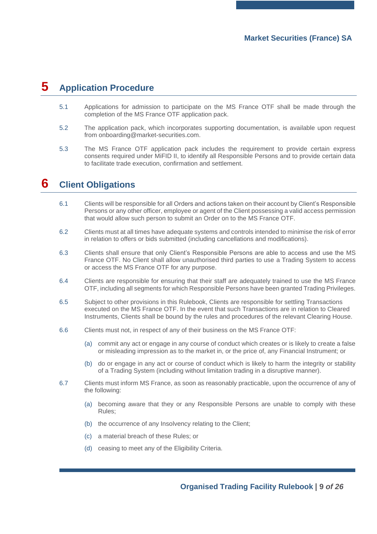## <span id="page-8-0"></span>**5 Application Procedure**

- 5.1 Applications for admission to participate on the MS France OTF shall be made through the completion of the MS France OTF application pack.
- 5.2 The application pack, which incorporates supporting documentation, is available upon request from onboarding@market-securities.com.
- 5.3 The MS France OTF application pack includes the requirement to provide certain express consents required under MiFID II, to identify all Responsible Persons and to provide certain data to facilitate trade execution, confirmation and settlement.

## <span id="page-8-1"></span>**6 Client Obligations**

- 6.1 Clients will be responsible for all Orders and actions taken on their account by Client's Responsible Persons or any other officer, employee or agent of the Client possessing a valid access permission that would allow such person to submit an Order on to the MS France OTF.
- 6.2 Clients must at all times have adequate systems and controls intended to minimise the risk of error in relation to offers or bids submitted (including cancellations and modifications).
- 6.3 Clients shall ensure that only Client's Responsible Persons are able to access and use the MS France OTF. No Client shall allow unauthorised third parties to use a Trading System to access or access the MS France OTF for any purpose.
- 6.4 Clients are responsible for ensuring that their staff are adequately trained to use the MS France OTF, including all segments for which Responsible Persons have been granted Trading Privileges.
- 6.5 Subject to other provisions in this Rulebook, Clients are responsible for settling Transactions executed on the MS France OTF. In the event that such Transactions are in relation to Cleared Instruments, Clients shall be bound by the rules and procedures of the relevant Clearing House.
- 6.6 Clients must not, in respect of any of their business on the MS France OTF:
	- (a) commit any act or engage in any course of conduct which creates or is likely to create a false or misleading impression as to the market in, or the price of, any Financial Instrument; or
	- (b) do or engage in any act or course of conduct which is likely to harm the integrity or stability of a Trading System (including without limitation trading in a disruptive manner).
- 6.7 Clients must inform MS France, as soon as reasonably practicable, upon the occurrence of any of the following:
	- (a) becoming aware that they or any Responsible Persons are unable to comply with these Rules;
	- (b) the occurrence of any Insolvency relating to the Client;
	- (c) a material breach of these Rules; or
	- (d) ceasing to meet any of the Eligibility Criteria.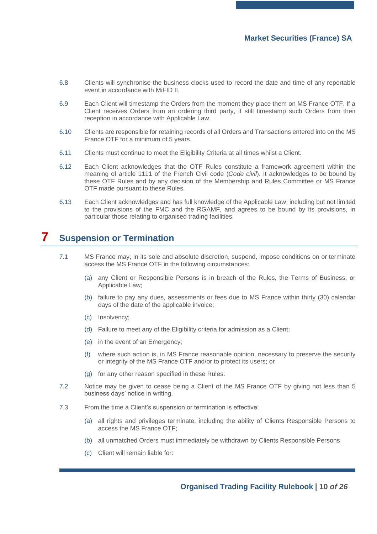- 6.8 Clients will synchronise the business clocks used to record the date and time of any reportable event in accordance with MiFID II.
- 6.9 Each Client will timestamp the Orders from the moment they place them on MS France OTF. If a Client receives Orders from an ordering third party, it still timestamp such Orders from their reception in accordance with Applicable Law.
- 6.10 Clients are responsible for retaining records of all Orders and Transactions entered into on the MS France OTF for a minimum of 5 years.
- 6.11 Clients must continue to meet the Eligibility Criteria at all times whilst a Client.
- 6.12 Each Client acknowledges that the OTF Rules constitute a framework agreement within the meaning of article 1111 of the French Civil code (*Code civil*). It acknowledges to be bound by these OTF Rules and by any decision of the Membership and Rules Committee or MS France OTF made pursuant to these Rules.
- 6.13 Each Client acknowledges and has full knowledge of the Applicable Law, including but not limited to the provisions of the FMC and the RGAMF, and agrees to be bound by its provisions, in particular those relating to organised trading facilities.

## <span id="page-9-0"></span>**7 Suspension or Termination**

- 7.1 MS France may, in its sole and absolute discretion, suspend, impose conditions on or terminate access the MS France OTF in the following circumstances:
	- (a) any Client or Responsible Persons is in breach of the Rules, the Terms of Business, or Applicable Law;
	- (b) failure to pay any dues, assessments or fees due to MS France within thirty (30) calendar days of the date of the applicable invoice;
	- (c) Insolvency;
	- (d) Failure to meet any of the Eligibility criteria for admission as a Client;
	- (e) in the event of an Emergency;
	- (f) where such action is, in MS France reasonable opinion, necessary to preserve the security or integrity of the MS France OTF and/or to protect its users; or
	- (g) for any other reason specified in these Rules.
- 7.2 Notice may be given to cease being a Client of the MS France OTF by giving not less than 5 business days' notice in writing.
- 7.3 From the time a Client's suspension or termination is effective:
	- (a) all rights and privileges terminate, including the ability of Clients Responsible Persons to access the MS France OTF;
	- (b) all unmatched Orders must immediately be withdrawn by Clients Responsible Persons
	- (c) Client will remain liable for: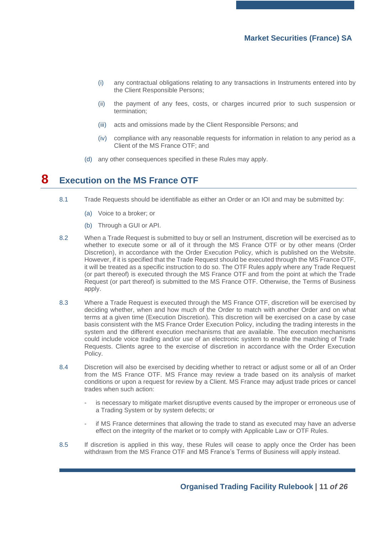- (i) any contractual obligations relating to any transactions in Instruments entered into by the Client Responsible Persons;
- (ii) the payment of any fees, costs, or charges incurred prior to such suspension or termination;
- (iii) acts and omissions made by the Client Responsible Persons; and
- (iv) compliance with any reasonable requests for information in relation to any period as a Client of the MS France OTF; and
- (d) any other consequences specified in these Rules may apply.

## <span id="page-10-0"></span>**8 Execution on the MS France OTF**

- <span id="page-10-1"></span>8.1 Trade Requests should be identifiable as either an Order or an IOI and may be submitted by:
	- (a) Voice to a broker; or
	- (b) Through a GUI or API.
- 8.2 When a Trade Request is submitted to buy or sell an Instrument, discretion will be exercised as to whether to execute some or all of it through the MS France OTF or by other means (Order Discretion), in accordance with the Order Execution Policy, which is published on the Website. However, if it is specified that the Trade Request should be executed through the MS France OTF, it will be treated as a specific instruction to do so. The OTF Rules apply where any Trade Request (or part thereof) is executed through the MS France OTF and from the point at which the Trade Request (or part thereof) is submitted to the MS France OTF. Otherwise, the Terms of Business apply.
- 8.3 Where a Trade Request is executed through the MS France OTF, discretion will be exercised by deciding whether, when and how much of the Order to match with another Order and on what terms at a given time (Execution Discretion). This discretion will be exercised on a case by case basis consistent with the MS France Order Execution Policy, including the trading interests in the system and the different execution mechanisms that are available. The execution mechanisms could include voice trading and/or use of an electronic system to enable the matching of Trade Requests. Clients agree to the exercise of discretion in accordance with the Order Execution Policy.
- 8.4 Discretion will also be exercised by deciding whether to retract or adjust some or all of an Order from the MS France OTF. MS France may review a trade based on its analysis of market conditions or upon a request for review by a Client. MS France may adjust trade prices or cancel trades when such action:
	- is necessary to mitigate market disruptive events caused by the improper or erroneous use of a Trading System or by system defects; or
	- if MS France determines that allowing the trade to stand as executed may have an adverse effect on the integrity of the market or to comply with Applicable Law or OTF Rules.
- 8.5 If discretion is applied in this way, these Rules will cease to apply once the Order has been withdrawn from the MS France OTF and MS France's Terms of Business will apply instead.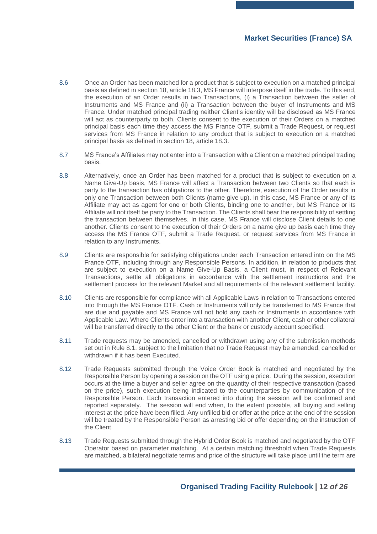- 8.6 Once an Order has been matched for a product that is subject to execution on a matched principal basis as defined in section 18, article 18.3, MS France will interpose itself in the trade. To this end, the execution of an Order results in two Transactions, (i) a Transaction between the seller of Instruments and MS France and (ii) a Transaction between the buyer of Instruments and MS France. Under matched principal trading neither Client's identity will be disclosed as MS France will act as counterparty to both. Clients consent to the execution of their Orders on a matched principal basis each time they access the MS France OTF, submit a Trade Request, or request services from MS France in relation to any product that is subject to execution on a matched principal basis as defined in section 18, article 18.3.
- 8.7 MS France's Affiliates may not enter into a Transaction with a Client on a matched principal trading basis.
- 8.8 Alternatively, once an Order has been matched for a product that is subject to execution on a Name Give-Up basis, MS France will affect a Transaction between two Clients so that each is party to the transaction has obligations to the other. Therefore, execution of the Order results in only one Transaction between both Clients (name give up). In this case, MS France or any of its Affiliate may act as agent for one or both Clients, binding one to another, but MS France or its Affiliate will not itself be party to the Transaction. The Clients shall bear the responsibility of settling the transaction between themselves. In this case, MS France will disclose Client details to one another. Clients consent to the execution of their Orders on a name give up basis each time they access the MS France OTF, submit a Trade Request, or request services from MS France in relation to any Instruments.
- 8.9 Clients are responsible for satisfying obligations under each Transaction entered into on the MS France OTF, including through any Responsible Persons. In addition, in relation to products that are subject to execution on a Name Give-Up Basis, a Client must, in respect of Relevant Transactions, settle all obligations in accordance with the settlement instructions and the settlement process for the relevant Market and all requirements of the relevant settlement facility.
- 8.10 Clients are responsible for compliance with all Applicable Laws in relation to Transactions entered into through the MS France OTF. Cash or Instruments will only be transferred to MS France that are due and payable and MS France will not hold any cash or Instruments in accordance with Applicable Law. Where Clients enter into a transaction with another Client, cash or other collateral will be transferred directly to the other Client or the bank or custody account specified.
- 8.11 Trade requests may be amended, cancelled or withdrawn using any of the submission methods set out in Rule [8.1,](#page-10-1) subject to the limitation that no Trade Request may be amended, cancelled or withdrawn if it has been Executed.
- 8.12 Trade Requests submitted through the Voice Order Book is matched and negotiated by the Responsible Person by opening a session on the OTF using a price. During the session, execution occurs at the time a buyer and seller agree on the quantity of their respective transaction (based on the price), such execution being indicated to the counterparties by communication of the Responsible Person. Each transaction entered into during the session will be confirmed and reported separately. The session will end when, to the extent possible, all buying and selling interest at the price have been filled. Any unfilled bid or offer at the price at the end of the session will be treated by the Responsible Person as arresting bid or offer depending on the instruction of the Client.
- 8.13 Trade Requests submitted through the Hybrid Order Book is matched and negotiated by the OTF Operator based on parameter matching. At a certain matching threshold when Trade Requests are matched, a bilateral negotiate terms and price of the structure will take place until the term are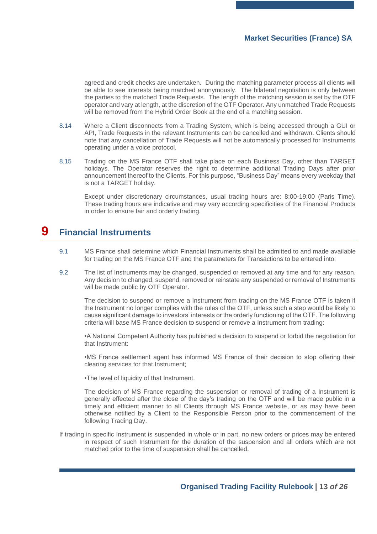agreed and credit checks are undertaken. During the matching parameter process all clients will be able to see interests being matched anonymously. The bilateral negotiation is only between the parties to the matched Trade Requests. The length of the matching session is set by the OTF operator and vary at length, at the discretion of the OTF Operator. Any unmatched Trade Requests will be removed from the Hybrid Order Book at the end of a matching session.

- 8.14 Where a Client disconnects from a Trading System, which is being accessed through a GUI or API, Trade Requests in the relevant Instruments can be cancelled and withdrawn. Clients should note that any cancellation of Trade Requests will not be automatically processed for Instruments operating under a voice protocol.
- 8.15 Trading on the MS France OTF shall take place on each Business Day, other than TARGET holidays. The Operator reserves the right to determine additional Trading Days after prior announcement thereof to the Clients. For this purpose, "Business Day" means every weekday that is not a TARGET holiday.

Except under discretionary circumstances, usual trading hours are: 8:00-19:00 (Paris Time). These trading hours are indicative and may vary according specificities of the Financial Products in order to ensure fair and orderly trading.

## <span id="page-12-0"></span>**9 Financial Instruments**

- 9.1 MS France shall determine which Financial Instruments shall be admitted to and made available for trading on the MS France OTF and the parameters for Transactions to be entered into.
- 9.2 The list of Instruments may be changed, suspended or removed at any time and for any reason. Any decision to changed, suspend, removed or reinstate any suspended or removal of Instruments will be made public by OTF Operator.

The decision to suspend or remove a Instrument from trading on the MS France OTF is taken if the Instrument no longer complies with the rules of the OTF, unless such a step would be likely to cause significant damage to investors' interests or the orderly functioning of the OTF. The following criteria will base MS France decision to suspend or remove a Instrument from trading:

•A National Competent Authority has published a decision to suspend or forbid the negotiation for that Instrument:

•MS France settlement agent has informed MS France of their decision to stop offering their clearing services for that Instrument;

•The level of liquidity of that Instrument.

The decision of MS France regarding the suspension or removal of trading of a Instrument is generally effected after the close of the day's trading on the OTF and will be made public in a timely and efficient manner to all Clients through MS France website, or as may have been otherwise notified by a Client to the Responsible Person prior to the commencement of the following Trading Day.

If trading in specific Instrument is suspended in whole or in part, no new orders or prices may be entered in respect of such Instrument for the duration of the suspension and all orders which are not matched prior to the time of suspension shall be cancelled.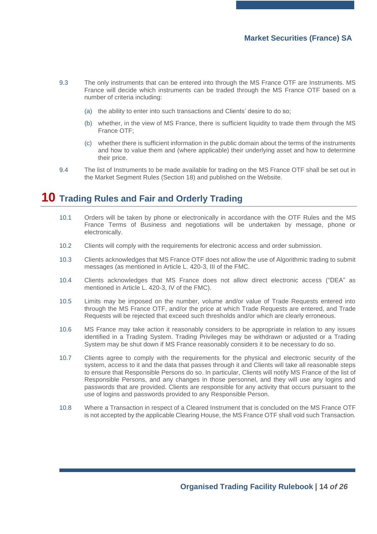- 9.3 The only instruments that can be entered into through the MS France OTF are Instruments. MS France will decide which instruments can be traded through the MS France OTF based on a number of criteria including:
	- (a) the ability to enter into such transactions and Clients' desire to do so;
	- (b) whether, in the view of MS France, there is sufficient liquidity to trade them through the MS France OTF;
	- (c) whether there is sufficient information in the public domain about the terms of the instruments and how to value them and (where applicable) their underlying asset and how to determine their price.
- 9.4 The list of Instruments to be made available for trading on the MS France OTF shall be set out in the Market Segment Rules (Section [18\)](#page-20-0) and published on the Website.

## <span id="page-13-0"></span>**10 Trading Rules and Fair and Orderly Trading**

- 10.1 Orders will be taken by phone or electronically in accordance with the OTF Rules and the MS France Terms of Business and negotiations will be undertaken by message, phone or electronically.
- 10.2 Clients will comply with the requirements for electronic access and order submission.
- 10.3 Clients acknowledges that MS France OTF does not allow the use of Algorithmic trading to submit messages (as mentioned in Article L. 420-3, III of the FMC.
- 10.4 Clients acknowledges that MS France does not allow direct electronic access ("DEA" as mentioned in Article L. 420-3, IV of the FMC).
- 10.5 Limits may be imposed on the number, volume and/or value of Trade Requests entered into through the MS France OTF, and/or the price at which Trade Requests are entered, and Trade Requests will be rejected that exceed such thresholds and/or which are clearly erroneous.
- 10.6 MS France may take action it reasonably considers to be appropriate in relation to any issues identified in a Trading System. Trading Privileges may be withdrawn or adjusted or a Trading System may be shut down if MS France reasonably considers it to be necessary to do so.
- 10.7 Clients agree to comply with the requirements for the physical and electronic security of the system, access to it and the data that passes through it and Clients will take all reasonable steps to ensure that Responsible Persons do so. In particular, Clients will notify MS France of the list of Responsible Persons, and any changes in those personnel, and they will use any logins and passwords that are provided. Clients are responsible for any activity that occurs pursuant to the use of logins and passwords provided to any Responsible Person.
- 10.8 Where a Transaction in respect of a Cleared Instrument that is concluded on the MS France OTF is not accepted by the applicable Clearing House, the MS France OTF shall void such Transaction.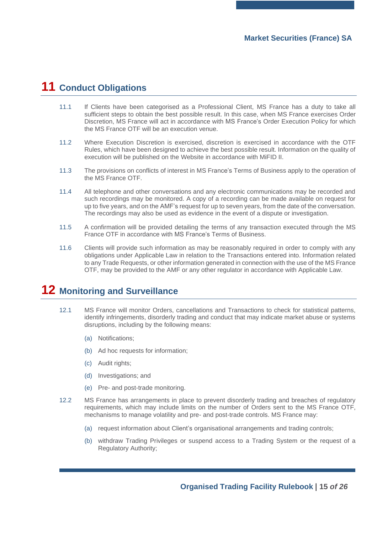# <span id="page-14-0"></span>**11 Conduct Obligations**

- 11.1 If Clients have been categorised as a Professional Client, MS France has a duty to take all sufficient steps to obtain the best possible result. In this case, when MS France exercises Order Discretion, MS France will act in accordance with MS France's Order Execution Policy for which the MS France OTF will be an execution venue.
- 11.2 Where Execution Discretion is exercised, discretion is exercised in accordance with the OTF Rules, which have been designed to achieve the best possible result. Information on the quality of execution will be published on the Website in accordance with MiFID II.
- 11.3 The provisions on conflicts of interest in MS France's Terms of Business apply to the operation of the MS France OTF.
- 11.4 All telephone and other conversations and any electronic communications may be recorded and such recordings may be monitored. A copy of a recording can be made available on request for up to five years, and on the AMF's request for up to seven years, from the date of the conversation. The recordings may also be used as evidence in the event of a dispute or investigation.
- 11.5 A confirmation will be provided detailing the terms of any transaction executed through the MS France OTF in accordance with MS France's Terms of Business.
- 11.6 Clients will provide such information as may be reasonably required in order to comply with any obligations under Applicable Law in relation to the Transactions entered into. Information related to any Trade Requests, or other information generated in connection with the use of the MS France OTF, may be provided to the AMF or any other regulator in accordance with Applicable Law.

## <span id="page-14-1"></span>**12 Monitoring and Surveillance**

- 12.1 MS France will monitor Orders, cancellations and Transactions to check for statistical patterns, identify infringements, disorderly trading and conduct that may indicate market abuse or systems disruptions, including by the following means:
	- (a) Notifications;
	- (b) Ad hoc requests for information;
	- (c) Audit rights;
	- (d) Investigations; and
	- (e) Pre- and post-trade monitoring.
- 12.2 MS France has arrangements in place to prevent disorderly trading and breaches of regulatory requirements, which may include limits on the number of Orders sent to the MS France OTF, mechanisms to manage volatility and pre- and post-trade controls. MS France may:
	- (a) request information about Client's organisational arrangements and trading controls;
	- (b) withdraw Trading Privileges or suspend access to a Trading System or the request of a Regulatory Authority;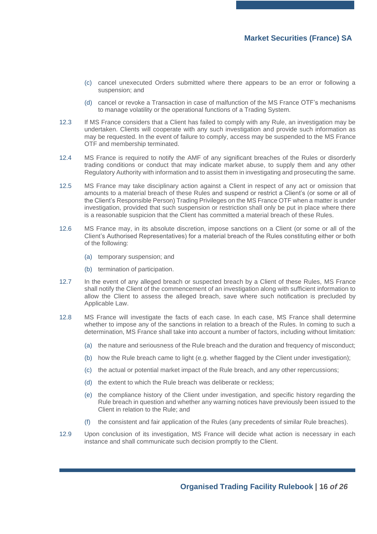- (c) cancel unexecuted Orders submitted where there appears to be an error or following a suspension; and
- (d) cancel or revoke a Transaction in case of malfunction of the MS France OTF's mechanisms to manage volatility or the operational functions of a Trading System.
- 12.3 If MS France considers that a Client has failed to comply with any Rule, an investigation may be undertaken. Clients will cooperate with any such investigation and provide such information as may be requested. In the event of failure to comply, access may be suspended to the MS France OTF and membership terminated.
- 12.4 MS France is required to notify the AMF of any significant breaches of the Rules or disorderly trading conditions or conduct that may indicate market abuse, to supply them and any other Regulatory Authority with information and to assist them in investigating and prosecuting the same.
- 12.5 MS France may take disciplinary action against a Client in respect of any act or omission that amounts to a material breach of these Rules and suspend or restrict a Client's (or some or all of the Client's Responsible Person) Trading Privileges on the MS France OTF when a matter is under investigation, provided that such suspension or restriction shall only be put in place where there is a reasonable suspicion that the Client has committed a material breach of these Rules.
- 12.6 MS France may, in its absolute discretion, impose sanctions on a Client (or some or all of the Client's Authorised Representatives) for a material breach of the Rules constituting either or both of the following:
	- (a) temporary suspension; and
	- (b) termination of participation.
- 12.7 In the event of any alleged breach or suspected breach by a Client of these Rules, MS France shall notify the Client of the commencement of an investigation along with sufficient information to allow the Client to assess the alleged breach, save where such notification is precluded by Applicable Law.
- 12.8 MS France will investigate the facts of each case. In each case, MS France shall determine whether to impose any of the sanctions in relation to a breach of the Rules. In coming to such a determination, MS France shall take into account a number of factors, including without limitation:
	- (a) the nature and seriousness of the Rule breach and the duration and frequency of misconduct;
	- (b) how the Rule breach came to light (e.g. whether flagged by the Client under investigation);
	- (c) the actual or potential market impact of the Rule breach, and any other repercussions;
	- (d) the extent to which the Rule breach was deliberate or reckless;
	- (e) the compliance history of the Client under investigation, and specific history regarding the Rule breach in question and whether any warning notices have previously been issued to the Client in relation to the Rule; and
	- (f) the consistent and fair application of the Rules (any precedents of similar Rule breaches).
- 12.9 Upon conclusion of its investigation, MS France will decide what action is necessary in each instance and shall communicate such decision promptly to the Client.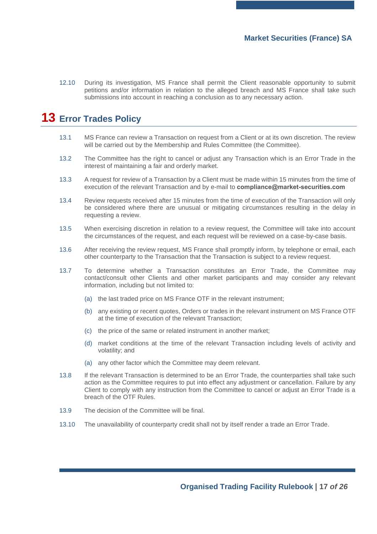12.10 During its investigation, MS France shall permit the Client reasonable opportunity to submit petitions and/or information in relation to the alleged breach and MS France shall take such submissions into account in reaching a conclusion as to any necessary action.

# <span id="page-16-0"></span>**13 Error Trades Policy**

- 13.1 MS France can review a Transaction on request from a Client or at its own discretion. The review will be carried out by the Membership and Rules Committee (the Committee).
- 13.2 The Committee has the right to cancel or adjust any Transaction which is an Error Trade in the interest of maintaining a fair and orderly market.
- 13.3 A request for review of a Transaction by a Client must be made within 15 minutes from the time of execution of the relevant Transaction and by e-mail to **[compliance@market-securities.com](mailto:compliance@market-securities.com)**
- 13.4 Review requests received after 15 minutes from the time of execution of the Transaction will only be considered where there are unusual or mitigating circumstances resulting in the delay in requesting a review.
- 13.5 When exercising discretion in relation to a review request, the Committee will take into account the circumstances of the request, and each request will be reviewed on a case-by-case basis.
- 13.6 After receiving the review request, MS France shall promptly inform, by telephone or email, each other counterparty to the Transaction that the Transaction is subject to a review request.
- 13.7 To determine whether a Transaction constitutes an Error Trade, the Committee may contact/consult other Clients and other market participants and may consider any relevant information, including but not limited to:
	- (a) the last traded price on MS France OTF in the relevant instrument;
	- (b) any existing or recent quotes, Orders or trades in the relevant instrument on MS France OTF at the time of execution of the relevant Transaction;
	- (c) the price of the same or related instrument in another market;
	- (d) market conditions at the time of the relevant Transaction including levels of activity and volatility; and
	- (a) any other factor which the Committee may deem relevant.
- 13.8 If the relevant Transaction is determined to be an Error Trade, the counterparties shall take such action as the Committee requires to put into effect any adjustment or cancellation. Failure by any Client to comply with any instruction from the Committee to cancel or adjust an Error Trade is a breach of the OTF Rules.
- 13.9 The decision of the Committee will be final.
- 13.10 The unavailability of counterparty credit shall not by itself render a trade an Error Trade.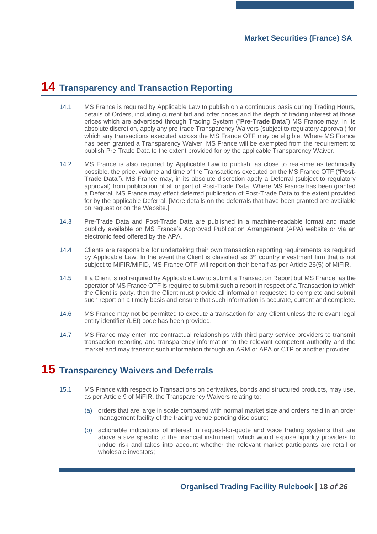## <span id="page-17-0"></span>**14 Transparency and Transaction Reporting**

- <span id="page-17-2"></span>14.1 MS France is required by Applicable Law to publish on a continuous basis during Trading Hours, details of Orders, including current bid and offer prices and the depth of trading interest at those prices which are advertised through Trading System ("**Pre-Trade Data**") MS France may, in its absolute discretion, apply any pre-trade Transparency Waivers (subject to regulatory approval) for which any transactions executed across the MS France OTF may be eligible. Where MS France has been granted a Transparency Waiver, MS France will be exempted from the requirement to publish Pre-Trade Data to the extent provided for by the applicable Transparency Waiver.
- <span id="page-17-3"></span>14.2 MS France is also required by Applicable Law to publish, as close to real-time as technically possible, the price, volume and time of the Transactions executed on the MS France OTF ("**Post-Trade Data**"). MS France may, in its absolute discretion apply a Deferral (subject to regulatory approval) from publication of all or part of Post-Trade Data. Where MS France has been granted a Deferral, MS France may effect deferred publication of Post-Trade Data to the extent provided for by the applicable Deferral. [More details on the deferrals that have been granted are available on request or on the Website.]
- 14.3 Pre-Trade Data and Post-Trade Data are published in a machine-readable format and made publicly available on MS France's Approved Publication Arrangement (APA) website or via an electronic feed offered by the APA.
- 14.4 Clients are responsible for undertaking their own transaction reporting requirements as required by Applicable Law. In the event the Client is classified as  $3<sup>rd</sup>$  country investment firm that is not subject to MiFIR/MiFID, MS France OTF will report on their behalf as per Article 26(5) of MiFIR.
- 14.5 If a Client is not required by Applicable Law to submit a Transaction Report but MS France, as the operator of MS France OTF is required to submit such a report in respect of a Transaction to which the Client is party, then the Client must provide all information requested to complete and submit such report on a timely basis and ensure that such information is accurate, current and complete.
- 14.6 MS France may not be permitted to execute a transaction for any Client unless the relevant legal entity identifier (LEI) code has been provided.
- 14.7 MS France may enter into contractual relationships with third party service providers to transmit transaction reporting and transparency information to the relevant competent authority and the market and may transmit such information through an ARM or APA or CTP or another provider.

## <span id="page-17-1"></span>**15 Transparency Waivers and Deferrals**

- 15.1 MS France with respect to Transactions on derivatives, bonds and structured products, may use, as per Article 9 of MiFIR, the Transparency Waivers relating to:
	- (a) orders that are large in scale compared with normal market size and orders held in an order management facility of the trading venue pending disclosure;
	- (b) actionable indications of interest in request-for-quote and voice trading systems that are above a size specific to the financial instrument, which would expose liquidity providers to undue risk and takes into account whether the relevant market participants are retail or wholesale investors;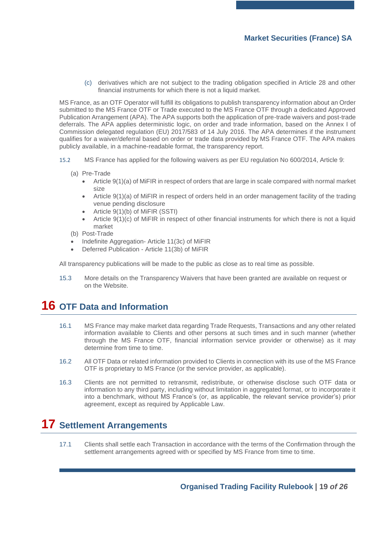(c) derivatives which are not subject to the trading obligation specified in Article 28 and other financial instruments for which there is not a liquid market.

MS France, as an OTF Operator will fulfill its obligations to publish transparency information about an Order submitted to the MS France OTF or Trade executed to the MS France OTF through a dedicated Approved Publication Arrangement (APA). The APA supports both the application of pre-trade waivers and post-trade deferrals. The APA applies deterministic logic, on order and trade information, based on the Annex I of Commission delegated regulation (EU) 2017/583 of 14 July 2016. The APA determines if the instrument qualifies for a waiver/deferral based on order or trade data provided by MS France OTF. The APA makes publicly available, in a machine-readable format, the transparency report.

- 15.2 MS France has applied for the following waivers as per EU regulation No 600/2014, Article 9:
	- (a) Pre-Trade
		- Article 9(1)(a) of MiFIR in respect of orders that are large in scale compared with normal market size
		- Article 9(1)(a) of MiFIR in respect of orders held in an order management facility of the trading venue pending disclosure
		- Article 9(1)(b) of MiFIR (SSTI)
		- Article 9(1)(c) of MiFIR in respect of other financial instruments for which there is not a liquid market
	- (b) Post-Trade
	- Indefinite Aggregation- Article 11(3c) of MiFIR
	- Deferred Publication Article 11(3b) of MiFIR

All transparency publications will be made to the public as close as to real time as possible.

15.3 More details on the Transparency Waivers that have been granted are available on request or on the Website.

## <span id="page-18-0"></span>**16 OTF Data and Information**

- 16.1 MS France may make market data regarding Trade Requests, Transactions and any other related information available to Clients and other persons at such times and in such manner (whether through the MS France OTF, financial information service provider or otherwise) as it may determine from time to time.
- 16.2 All OTF Data or related information provided to Clients in connection with its use of the MS France OTF is proprietary to MS France (or the service provider, as applicable).
- 16.3 Clients are not permitted to retransmit, redistribute, or otherwise disclose such OTF data or information to any third party, including without limitation in aggregated format, or to incorporate it into a benchmark, without MS France's (or, as applicable, the relevant service provider's) prior agreement, except as required by Applicable Law.

# <span id="page-18-1"></span>**17 Settlement Arrangements**

17.1 Clients shall settle each Transaction in accordance with the terms of the Confirmation through the settlement arrangements agreed with or specified by MS France from time to time.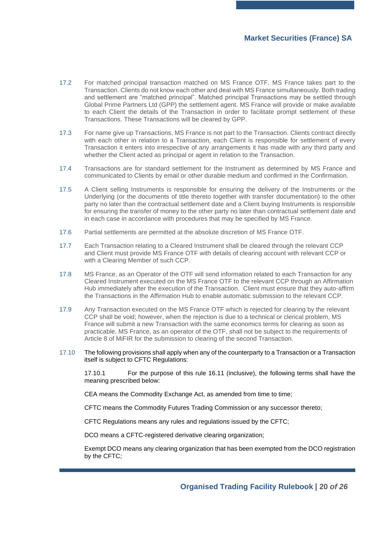- 17.2 For matched principal transaction matched on MS France OTF, MS France takes part to the Transaction. Clients do not know each other and deal with MS France simultaneously. Both trading and settlement are "matched principal". Matched principal Transactions may be settled through Global Prime Partners Ltd (GPP) the settlement agent. MS France will provide or make available to each Client the details of the Transaction in order to facilitate prompt settlement of these Transactions. These Transactions will be cleared by GPP.
- 17.3 For name give up Transactions, MS France is not part to the Transaction. Clients contract directly with each other in relation to a Transaction, each Client is responsible for settlement of every Transaction it enters into irrespective of any arrangements it has made with any third party and whether the Client acted as principal or agent in relation to the Transaction.
- 17.4 Transactions are for standard settlement for the Instrument as determined by MS France and communicated to Clients by email or other durable medium and confirmed in the Confirmation.
- 17.5 A Client selling Instruments is responsible for ensuring the delivery of the Instruments or the Underlying (or the documents of title thereto together with transfer documentation) to the other party no later than the contractual settlement date and a Client buying Instruments is responsible for ensuring the transfer of money to the other party no later than contractual settlement date and in each case in accordance with procedures that may be specified by MS France.
- 17.6 Partial settlements are permitted at the absolute discretion of MS France OTF.
- 17.7 Each Transaction relating to a Cleared Instrument shall be cleared through the relevant CCP and Client must provide MS France OTF with details of clearing account with relevant CCP or with a Clearing Member of such CCP.
- 17.8 MS France, as an Operator of the OTF will send information related to each Transaction for any Cleared Instrument executed on the MS France OTF to the relevant CCP through an Affirmation Hub immediately after the execution of the Transaction. Client must ensure that they auto-affirm the Transactions in the Affirmation Hub to enable automatic submission to the relevant CCP.
- 17.9 Any Transaction executed on the MS France OTF which is rejected for clearing by the relevant CCP shall be void; however, when the rejection is due to a technical or clerical problem, MS France will submit a new Transaction with the same economics terms for clearing as soon as practicable. MS France, as an operator of the OTF, shall not be subject to the requirements of Article 8 of MiFIR for the submission to clearing of the second Transaction.
- 17.10 The following provisions shall apply when any of the counterparty to a Transaction or a Transaction itself is subject to CFTC Regulations:

17.10.1 For the purpose of this rule 16.11 (inclusive), the following terms shall have the meaning prescribed below:

CEA means the Commodity Exchange Act, as amended from time to time;

CFTC means the Commodity Futures Trading Commission or any successor thereto;

CFTC Regulations means any rules and regulations issued by the CFTC;

DCO means a CFTC-registered derivative clearing organization;

Exempt DCO means any clearing organization that has been exempted from the DCO registration by the CFTC;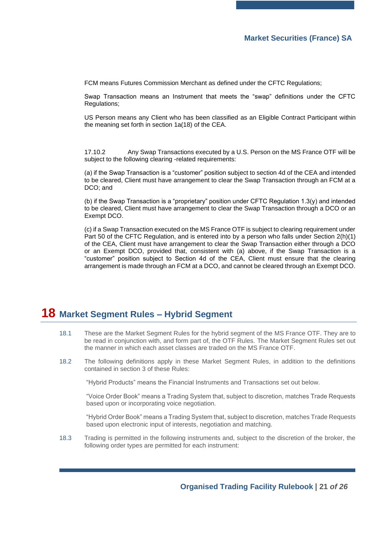FCM means Futures Commission Merchant as defined under the CFTC Regulations;

Swap Transaction means an Instrument that meets the "swap" definitions under the CFTC Regulations;

US Person means any Client who has been classified as an Eligible Contract Participant within the meaning set forth in section 1a(18) of the CEA.

17.10.2 Any Swap Transactions executed by a U.S. Person on the MS France OTF will be subject to the following clearing -related requirements:

(a) if the Swap Transaction is a "customer" position subject to section 4d of the CEA and intended to be cleared, Client must have arrangement to clear the Swap Transaction through an FCM at a DCO; and

(b) if the Swap Transaction is a "proprietary" position under CFTC Regulation 1.3(y) and intended to be cleared, Client must have arrangement to clear the Swap Transaction through a DCO or an Exempt DCO.

(c) if a Swap Transaction executed on the MS France OTF is subject to clearing requirement under Part 50 of the CFTC Regulation, and is entered into by a person who falls under Section 2(h)(1) of the CEA, Client must have arrangement to clear the Swap Transaction either through a DCO or an Exempt DCO, provided that, consistent with (a) above, if the Swap Transaction is a "customer" position subject to Section 4d of the CEA, Client must ensure that the clearing arrangement is made through an FCM at a DCO, and cannot be cleared through an Exempt DCO.

## <span id="page-20-0"></span>**18 Market Segment Rules – Hybrid Segment**

- 18.1 These are the Market Segment Rules for the hybrid segment of the MS France OTF. They are to be read in conjunction with, and form part of, the OTF Rules. The Market Segment Rules set out the manner in which each asset classes are traded on the MS France OTF.
- 18.2 The following definitions apply in these Market Segment Rules, in addition to the definitions contained in section [3](#page-3-0) of these Rules:

"Hybrid Products" means the Financial Instruments and Transactions set out below.

"Voice Order Book" means a Trading System that, subject to discretion, matches Trade Requests based upon or incorporating voice negotiation.

"Hybrid Order Book" means a Trading System that, subject to discretion, matches Trade Requests based upon electronic input of interests, negotiation and matching.

18.3 Trading is permitted in the following instruments and, subject to the discretion of the broker, the following order types are permitted for each instrument: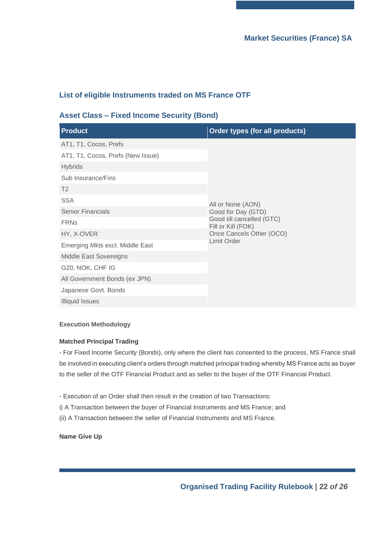## **List of eligible Instruments traded on MS France OTF**

#### **Asset Class – Fixed Income Security (Bond)**

| <b>Product</b>                    | Order types (for all products)                                        |  |
|-----------------------------------|-----------------------------------------------------------------------|--|
| AT1, T1, Cocos, Prefs             |                                                                       |  |
| AT1, T1, Cocos, Prefs (New Issue) |                                                                       |  |
| <b>Hybrids</b>                    |                                                                       |  |
| Sub Insurance/Fins                |                                                                       |  |
| T <sub>2</sub>                    |                                                                       |  |
| <b>SSA</b>                        | All or None (AON)                                                     |  |
| <b>Senior Financials</b>          | Good for Day (GTD)<br>Good till cancelled (GTC)<br>Fill or Kill (FOK) |  |
| <b>FRNs</b>                       |                                                                       |  |
| HY, X-OVER                        | Once Cancels Other (OCO)                                              |  |
| Emerging Mkts excl. Middle East   | <b>Limit Order</b>                                                    |  |
| <b>Middle East Sovereigns</b>     |                                                                       |  |
| G20, NOK, CHF IG                  |                                                                       |  |
| All Government Bonds (ex JPN)     |                                                                       |  |
| Japanese Govt. Bonds              |                                                                       |  |
| <b>Illiquid Issues</b>            |                                                                       |  |

#### **Execution Methodology**

#### **Matched Principal Trading**

- For Fixed Income Security (Bonds), only where the client has consented to the process, MS France shall be involved in executing client's orders through matched principal trading whereby MS France acts as buyer to the seller of the OTF Financial Product and as seller to the buyer of the OTF Financial Product.

- Execution of an Order shall then result in the creation of two Transactions:
- i) A Transaction between the buyer of Financial Instruments and MS France; and
- (ii) A Transaction between the seller of Financial Instruments and MS France.

**Name Give Up**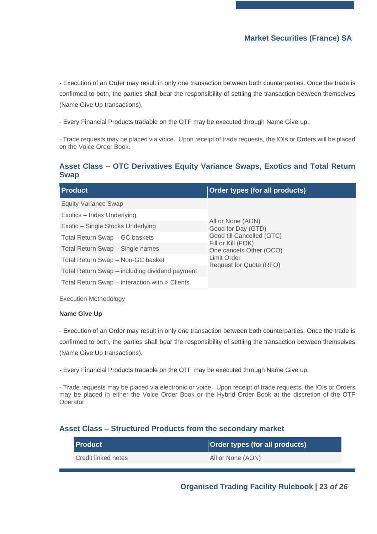- Execution of an Order may result in only one transaction between both counterparties. Once the trade is confirmed to both, the parties shall bear the responsibility of settling the transaction between themselves (Name Give Up transactions).

- Every Financial Products tradable on the OTF may be executed through Name Give up.

- Trade requests may be placed via voice. Upon receipt of trade requests, the IOIs or Orders will be placed on the Voice Order Book.

#### **Asset Class – OTC Derivatives Equity Variance Swaps, Exotics and Total Return Swap**

| <b>Product</b>                                 | Order types (for all products)                                                          |  |
|------------------------------------------------|-----------------------------------------------------------------------------------------|--|
| <b>Equity Variance Swap</b>                    |                                                                                         |  |
| Exotics - Index Underlying                     | All or None (AON)<br>Good for Day (GTD)                                                 |  |
| Exotic - Single Stocks Underlying              |                                                                                         |  |
| Total Return Swap - GC baskets                 | Good till Cancelled (GTC)                                                               |  |
| Total Return Swap - Single names               | Fill or Kill (FOK)<br>One cancels Other (OCO)<br>Limit Order<br>Request for Quote (RFQ) |  |
| Total Return Swap - Non-GC basket              |                                                                                         |  |
| Total Return Swap - including dividend payment |                                                                                         |  |
| Total Return Swap – interaction with > Clients |                                                                                         |  |

Execution Methodology

#### **Name Give Up**

- Execution of an Order may result in only one transaction between both counterparties. Once the trade is confirmed to both, the parties shall bear the responsibility of settling the transaction between themselves (Name Give Up transactions).

- Every Financial Products tradable on the OTF may be executed through Name Give up.

- Trade requests may be placed via electronic or voice. Upon receipt of trade requests, the IOIs or Orders may be placed in either the Voice Order Book or the Hybrid Order Book at the discretion of the OTF Operator.

#### **Asset Class – Structured Products from the secondary market**

| l Product           | <b>Order types (for all products)</b> |
|---------------------|---------------------------------------|
| Credit linked notes | All or None (AON)                     |

**Organised Trading Facility Rulebook | 23** *of 26*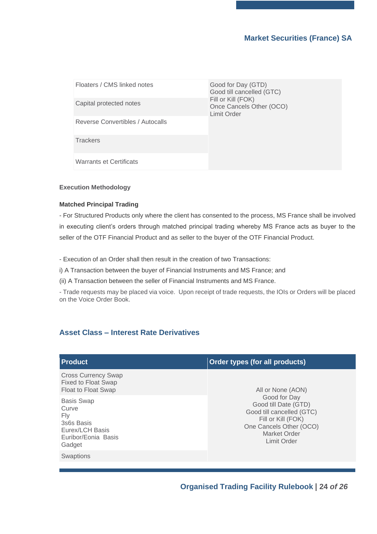| Floaters / CMS linked notes      | Good for Day (GTD)<br>Good till cancelled (GTC)               |  |
|----------------------------------|---------------------------------------------------------------|--|
| Capital protected notes          | Fill or Kill (FOK)<br>Once Cancels Other (OCO)<br>Limit Order |  |
| Reverse Convertibles / Autocalls |                                                               |  |
| <b>Trackers</b>                  |                                                               |  |
| Warrants et Certificats          |                                                               |  |

#### **Execution Methodology**

#### **Matched Principal Trading**

- For Structured Products only where the client has consented to the process, MS France shall be involved in executing client's orders through matched principal trading whereby MS France acts as buyer to the seller of the OTF Financial Product and as seller to the buyer of the OTF Financial Product.

- Execution of an Order shall then result in the creation of two Transactions:

i) A Transaction between the buyer of Financial Instruments and MS France; and

(ii) A Transaction between the seller of Financial Instruments and MS France.

- Trade requests may be placed via voice. Upon receipt of trade requests, the IOIs or Orders will be placed on the Voice Order Book.

#### **Asset Class – Interest Rate Derivatives**

| <b>Product</b>                                                                                      | Order types (for all products)                                                                                                                                                |
|-----------------------------------------------------------------------------------------------------|-------------------------------------------------------------------------------------------------------------------------------------------------------------------------------|
| <b>Cross Currency Swap</b><br><b>Fixed to Float Swap</b><br>Float to Float Swap                     | All or None (AON)<br>Good for Day<br>Good till Date (GTD)<br>Good till cancelled (GTC)<br>Fill or Kill (FOK)<br>One Cancels Other (OCO)<br>Market Order<br><b>Limit Order</b> |
| <b>Basis Swap</b><br>Curve<br>Fly<br>3s6s Basis<br>Eurex/LCH Basis<br>Euribor/Eonia Basis<br>Gadget |                                                                                                                                                                               |
| <b>Swaptions</b>                                                                                    |                                                                                                                                                                               |

**Organised Trading Facility Rulebook | 24** *of 26*